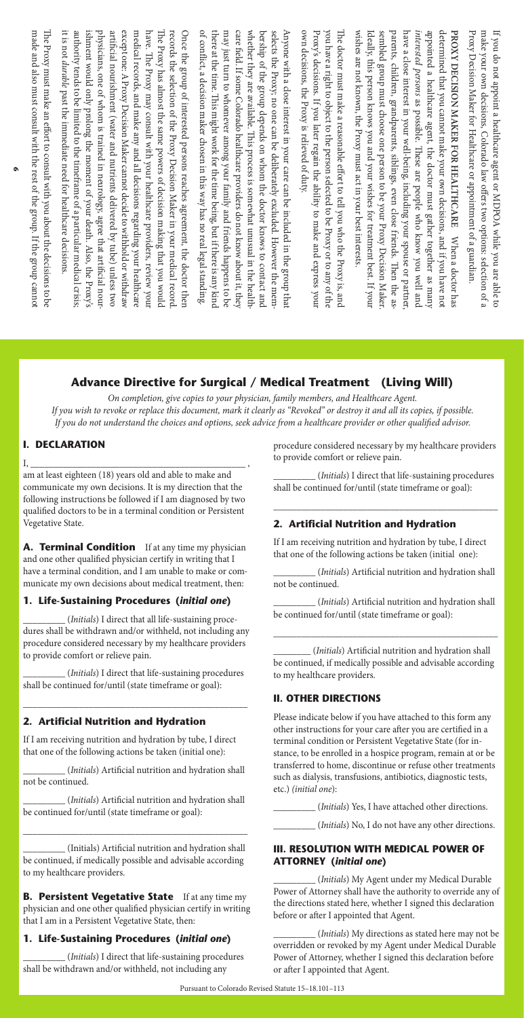# **Advance Directive for Surgical / Medical Treatment (Living Will)**

On completion, give copies to your physician, family members, and Healthcare Agent. If you wish to revoke or replace this document, mark it clearly as "Revoked" or destroy it and all its copies, if possible. If you do not understand the choices and options, seek advice from a healthcare provider or other qualified advisor.

### **I. DECLARATION**

I, \_\_\_\_\_\_\_\_\_\_\_\_\_\_\_\_\_\_\_\_\_\_\_\_\_\_\_\_\_\_\_\_\_\_\_\_\_\_\_\_\_\_\_\_\_\_ , am at least eighteen (18) years old and able to make and communicate my own decisions. It is my direction that the following instructions be followed if I am diagnosed by two qualified doctors to be in a terminal condition or Persistent Vegetative State.

**A. Terminal Condition** If at any time my physician and one other qualified physician certify in writing that I have a terminal condition, and I am unable to make or communicate my own decisions about medical treatment, then:

## **1. Life-Sustaining Procedures (***initial one***)**

\_\_\_\_\_\_\_\_\_\_\_ (*Initials*) I direct that all life-sustaining procedures shall be withdrawn and/or withheld, not including any procedure considered necessary by my healthcare providers to provide comfort or relieve pain.

*\_\_\_\_\_\_\_\_\_\_\_\_\_(Initials)* I direct that life-sustaining procedures shall be continued for/until (state timeframe or goal):

\_\_\_\_\_\_\_\_\_\_\_\_\_\_\_\_\_\_\_\_\_\_\_\_\_\_\_\_\_\_\_\_\_\_\_\_\_\_\_\_\_\_\_\_\_\_\_\_

# **2. Artificial Nutrition and Hydration**

If I am receiving nutrition and hydration by tube, I direct that one of the following actions be taken (initial one):

\_\_\_\_\_\_\_\_\_\_(*Initials*) Artificial nutrition and hydration shall not be continued.

\_\_\_\_\_\_\_\_\_\_(*Initials*) Artificial nutrition and hydration shall be continued for/until (state timeframe or goal):

\_\_\_\_\_\_\_\_\_\_\_\_\_\_\_\_\_\_\_\_\_\_\_\_\_\_\_\_\_\_\_\_\_\_\_\_\_\_\_\_\_\_\_\_\_\_\_\_

\_\_\_\_\_\_\_\_\_\_\_ (Initials) Artificial nutrition and hydration shall be continued, if medically possible and advisable according to my healthcare providers.

**B. Persistent Vegetative State** If at any time my physician and one other qualified physician certify in writing that I am in a Persistent Vegetative State, then:

# **1. Life-Sustaining Procedures (***initial one***)**

\_\_\_\_\_\_\_\_\_\_\_(*Initials*) I direct that life-sustaining procedures shall be withdrawn and/or withheld, not including any

procedure considered necessary by my healthcare providers to provide comfort or relieve pain.

\_\_\_\_\_\_\_\_\_\_(*Initials*) I direct that life-sustaining procedures shall be continued for/until (state timeframe or goal):

\_\_\_\_\_\_\_\_\_\_\_\_\_\_\_\_\_\_\_\_\_\_\_\_\_\_\_\_\_\_\_\_\_\_\_\_\_\_\_\_\_\_\_\_\_\_\_\_

### **2. Artificial Nutrition and Hydration**

If I am receiving nutrition and hydration by tube, I direct that one of the following actions be taken (initial one):

*\_\_\_\_\_\_\_\_\_\_\_\_\_\_ (Initials*) Artificial nutrition and hydration shall not be continued.

\_\_\_\_\_\_\_\_\_\_(*Initials*) Artificial nutrition and hydration shall be continued for/until (state timeframe or goal):

\_\_\_\_\_\_\_\_\_\_\_\_\_\_\_\_\_\_\_\_\_\_\_\_\_\_\_\_\_\_\_\_\_\_\_\_\_\_\_\_\_\_\_\_\_\_\_\_

*\_\_\_\_\_\_\_\_\_\_\_ (Initials*) Artificial nutrition and hydration shall be continued, if medically possible and advisable according to my healthcare providers.

### **II. OTHER DIRECTIONS**

Please indicate below if you have attached to this form any other instructions for your care after you are certified in a terminal condition or Persistent Vegetative State (for instance, to be enrolled in a hospice program, remain at or be transferred to home, discontinue or refuse other treatments such as dialysis, transfusions, antibiotics, diagnostic tests, etc.) (initial one):

\_\_\_\_\_\_\_\_\_\_\_\_(*Initials*) Yes, I have attached other directions.

*\_\_\_\_\_\_\_\_\_\_\_\_\_ (Initials)* No, I do not have any other directions.

#### **III. RESOLUTION WITH MEDICAL POWER OF ATTORNEY (***initial one***)**

\_\_\_\_\_\_\_\_\_\_\_ (*Initials*) My Agent under my Medical Durable Power of Attorney shall have the authority to override any of the directions stated here, whether I signed this declaration before or after I appointed that Agent.

\_\_\_\_\_\_\_\_\_\_\_ (*Initials*) My directions as stated here may not be overridden or revoked by my Agent under Medical Durable Power of Attorney, whether I signed this declaration before or after I appointed that Agent.